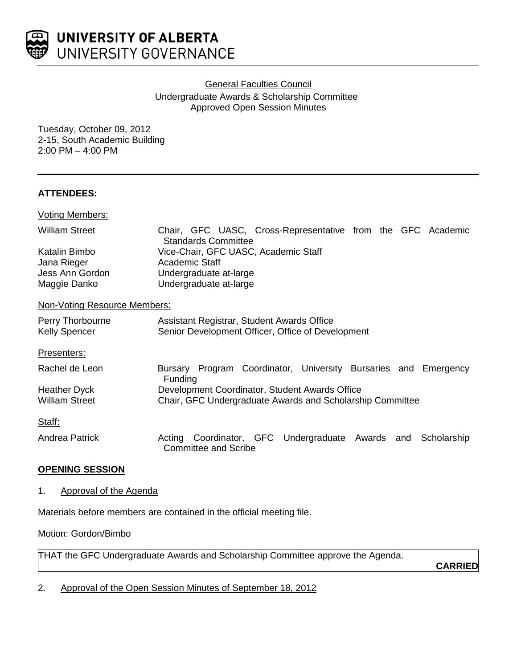

**General Faculties Council** 

Undergraduate Awards & Scholarship Committee Approved Open Session Minutes

Tuesday, October 09, 2012 2-15, South Academic Building 2:00 PM – 4:00 PM

# **ATTENDEES:**

| <b>Voting Members:</b>                                          |                                                                                                            |
|-----------------------------------------------------------------|------------------------------------------------------------------------------------------------------------|
| <b>William Street</b>                                           | Chair, GFC UASC, Cross-Representative from the GFC Academic<br><b>Standards Committee</b>                  |
| Katalin Bimbo<br>Jana Rieger<br>Jess Ann Gordon<br>Maggie Danko | Vice-Chair, GFC UASC, Academic Staff<br>Academic Staff<br>Undergraduate at-large<br>Undergraduate at-large |
| Non-Voting Resource Members:                                    |                                                                                                            |
| Perry Thorbourne<br><b>Kelly Spencer</b>                        | Assistant Registrar, Student Awards Office<br>Senior Development Officer, Office of Development            |

Presenters:

| Rachel de Leon                               | Program Coordinator, University Bursaries and Emergency<br><b>Bursary</b><br><b>Funding</b>                 |
|----------------------------------------------|-------------------------------------------------------------------------------------------------------------|
| <b>Heather Dyck</b><br><b>William Street</b> | Development Coordinator, Student Awards Office<br>Chair, GFC Undergraduate Awards and Scholarship Committee |
| Staff:                                       |                                                                                                             |
| Andrea Patrick                               | Coordinator, GFC Undergraduate Awards and Scholarship<br>Acting                                             |

# **OPENING SESSION**

## 1. Approval of the Agenda

Materials before members are contained in the official meeting file.

Motion: Gordon/Bimbo

THAT the GFC Undergraduate Awards and Scholarship Committee approve the Agenda.

Committee and Scribe

**CARRIED**

2. Approval of the Open Session Minutes of September 18, 2012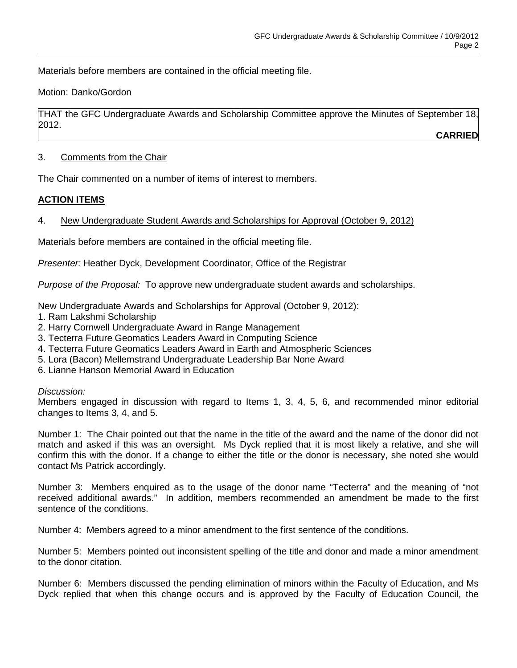Materials before members are contained in the official meeting file.

Motion: Danko/Gordon

THAT the GFC Undergraduate Awards and Scholarship Committee approve the Minutes of September 18, 2012.

**CARRIED**

# 3. Comments from the Chair

The Chair commented on a number of items of interest to members.

# **ACTION ITEMS**

# 4. New Undergraduate Student Awards and Scholarships for Approval (October 9, 2012)

Materials before members are contained in the official meeting file.

*Presenter:* Heather Dyck, Development Coordinator, Office of the Registrar

*Purpose of the Proposal:* To approve new undergraduate student awards and scholarships.

New Undergraduate Awards and Scholarships for Approval (October 9, 2012):

- 1. Ram Lakshmi Scholarship
- 2. Harry Cornwell Undergraduate Award in Range Management
- 3. Tecterra Future Geomatics Leaders Award in Computing Science
- 4. Tecterra Future Geomatics Leaders Award in Earth and Atmospheric Sciences
- 5. Lora (Bacon) Mellemstrand Undergraduate Leadership Bar None Award
- 6. Lianne Hanson Memorial Award in Education

## *Discussion:*

Members engaged in discussion with regard to Items 1, 3, 4, 5, 6, and recommended minor editorial changes to Items 3, 4, and 5.

Number 1: The Chair pointed out that the name in the title of the award and the name of the donor did not match and asked if this was an oversight. Ms Dyck replied that it is most likely a relative, and she will confirm this with the donor. If a change to either the title or the donor is necessary, she noted she would contact Ms Patrick accordingly.

Number 3: Members enquired as to the usage of the donor name "Tecterra" and the meaning of "not received additional awards." In addition, members recommended an amendment be made to the first sentence of the conditions.

Number 4: Members agreed to a minor amendment to the first sentence of the conditions.

Number 5: Members pointed out inconsistent spelling of the title and donor and made a minor amendment to the donor citation.

Number 6: Members discussed the pending elimination of minors within the Faculty of Education, and Ms Dyck replied that when this change occurs and is approved by the Faculty of Education Council, the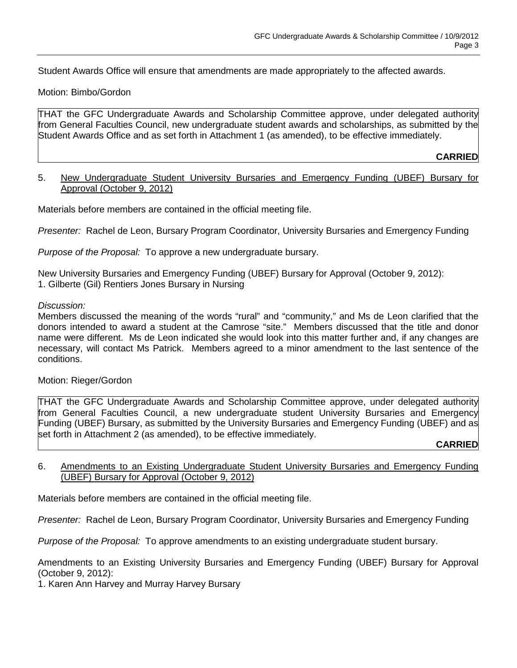Student Awards Office will ensure that amendments are made appropriately to the affected awards.

## Motion: Bimbo/Gordon

THAT the GFC Undergraduate Awards and Scholarship Committee approve, under delegated authority from General Faculties Council, new undergraduate student awards and scholarships, as submitted by the Student Awards Office and as set forth in Attachment 1 (as amended), to be effective immediately.

### **CARRIED**

## 5. New Undergraduate Student University Bursaries and Emergency Funding (UBEF) Bursary for Approval (October 9, 2012)

Materials before members are contained in the official meeting file.

*Presenter:* Rachel de Leon, Bursary Program Coordinator, University Bursaries and Emergency Funding

*Purpose of the Proposal:* To approve a new undergraduate bursary.

New University Bursaries and Emergency Funding (UBEF) Bursary for Approval (October 9, 2012): 1. Gilberte (Gil) Rentiers Jones Bursary in Nursing

#### *Discussion:*

Members discussed the meaning of the words "rural" and "community," and Ms de Leon clarified that the donors intended to award a student at the Camrose "site." Members discussed that the title and donor name were different. Ms de Leon indicated she would look into this matter further and, if any changes are necessary, will contact Ms Patrick. Members agreed to a minor amendment to the last sentence of the conditions.

## Motion: Rieger/Gordon

THAT the GFC Undergraduate Awards and Scholarship Committee approve, under delegated authority from General Faculties Council, a new undergraduate student University Bursaries and Emergency Funding (UBEF) Bursary, as submitted by the University Bursaries and Emergency Funding (UBEF) and as set forth in Attachment 2 (as amended), to be effective immediately.

#### **CARRIED**

## 6. Amendments to an Existing Undergraduate Student University Bursaries and Emergency Funding (UBEF) Bursary for Approval (October 9, 2012)

Materials before members are contained in the official meeting file.

*Presenter:* Rachel de Leon, Bursary Program Coordinator, University Bursaries and Emergency Funding

*Purpose of the Proposal:* To approve amendments to an existing undergraduate student bursary.

Amendments to an Existing University Bursaries and Emergency Funding (UBEF) Bursary for Approval (October 9, 2012):

1. Karen Ann Harvey and Murray Harvey Bursary